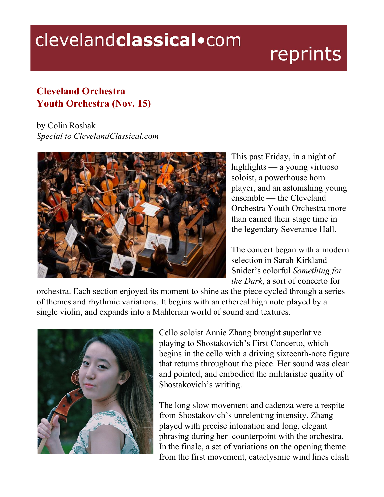## clevelandclassical.com

## reprints

## **Cleveland Orchestra Youth Orchestra (Nov. 15)**

by Colin Roshak *Special to ClevelandClassical.com*



This past Friday, in a night of highlights — a young virtuoso soloist, a powerhouse horn player, and an astonishing young ensemble — the Cleveland Orchestra Youth Orchestra more than earned their stage time in the legendary Severance Hall.

The concert began with a modern selection in Sarah Kirkland Snider's colorful *Something for the Dark*, a sort of concerto for

orchestra. Each section enjoyed its moment to shine as the piece cycled through a series of themes and rhythmic variations. It begins with an ethereal high note played by a single violin, and expands into a Mahlerian world of sound and textures.



Cello soloist Annie Zhang brought superlative playing to Shostakovich's First Concerto, which begins in the cello with a driving sixteenth-note figure that returns throughout the piece. Her sound was clear and pointed, and embodied the militaristic quality of Shostakovich's writing.

The long slow movement and cadenza were a respite from Shostakovich's unrelenting intensity. Zhang played with precise intonation and long, elegant phrasing during her counterpoint with the orchestra. In the finale, a set of variations on the opening theme from the first movement, cataclysmic wind lines clash